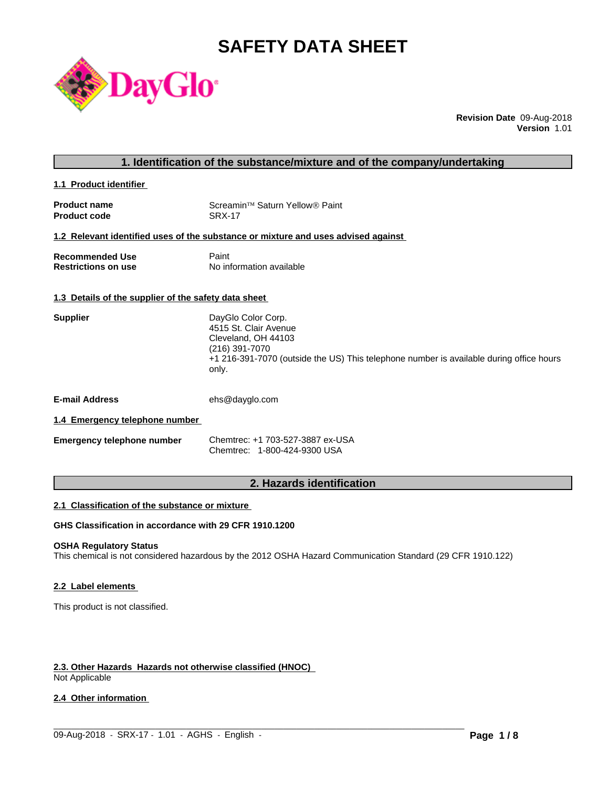# **SAFETY DATA SHEET**



**Revision Date** 09-Aug-2018 **Version** 1.01

**1.1 Product identifier** 

| <b>Product name</b> | Screamin™ Saturn Yellow® Paint |
|---------------------|--------------------------------|
| <b>Product code</b> | SRX-17                         |

#### **1.2 Relevant identified uses of the substance or mixture and uses advised against**

| <b>Recommended Use</b>     | Paint                    |
|----------------------------|--------------------------|
| <b>Restrictions on use</b> | No information available |

#### **1.3 Details of the supplier of the safety data sheet**

| <b>Supplier</b> | DayGlo Color Corp.                                                                      |
|-----------------|-----------------------------------------------------------------------------------------|
|                 | 4515 St. Clair Avenue                                                                   |
|                 | Cleveland, OH 44103                                                                     |
|                 | (216) 391-7070                                                                          |
|                 | +1 216-391-7070 (outside the US) This telephone number is available during office hours |
|                 | only.                                                                                   |
|                 |                                                                                         |
|                 |                                                                                         |

**E-mail Address** ehs@dayglo.com

## **1.4 Emergency telephone number**

| <b>Emergency telephone number</b> | Chemtrec: +1 703-527-3887 ex-USA |
|-----------------------------------|----------------------------------|
|                                   | Chemtrec: 1-800-424-9300 USA     |

## **2. Hazards identification**

#### **2.1 Classification of the substance or mixture**

## **GHS Classification in accordance with 29 CFR 1910.1200**

## **OSHA Regulatory Status**

This chemical is not considered hazardous by the 2012 OSHA Hazard Communication Standard (29 CFR 1910.122)

 $\_$  ,  $\_$  ,  $\_$  ,  $\_$  ,  $\_$  ,  $\_$  ,  $\_$  ,  $\_$  ,  $\_$  ,  $\_$  ,  $\_$  ,  $\_$  ,  $\_$  ,  $\_$  ,  $\_$  ,  $\_$  ,  $\_$  ,  $\_$  ,  $\_$  ,  $\_$  ,  $\_$  ,  $\_$  ,  $\_$  ,  $\_$  ,  $\_$  ,  $\_$  ,  $\_$  ,  $\_$  ,  $\_$  ,  $\_$  ,  $\_$  ,  $\_$  ,  $\_$  ,  $\_$  ,  $\_$  ,  $\_$  ,  $\_$  ,

#### **2.2 Label elements**

This product is not classified.

## **2.3. Other Hazards Hazards not otherwise classified (HNOC)**

Not Applicable

## **2.4 Other information**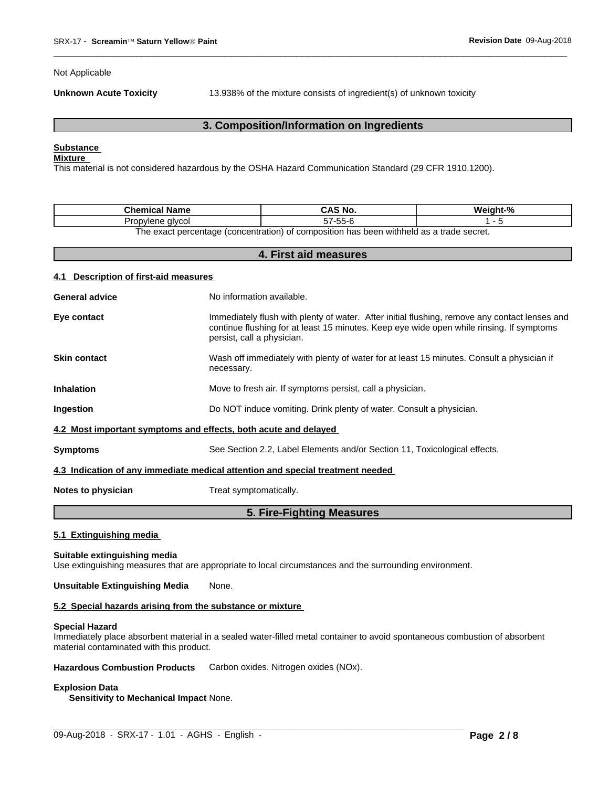Not Applicable

**Unknown Acute Toxicity** 13.938% of the mixture consists of ingredient(s) of unknown toxicity

 $\overline{\phantom{a}}$  ,  $\overline{\phantom{a}}$  ,  $\overline{\phantom{a}}$  ,  $\overline{\phantom{a}}$  ,  $\overline{\phantom{a}}$  ,  $\overline{\phantom{a}}$  ,  $\overline{\phantom{a}}$  ,  $\overline{\phantom{a}}$  ,  $\overline{\phantom{a}}$  ,  $\overline{\phantom{a}}$  ,  $\overline{\phantom{a}}$  ,  $\overline{\phantom{a}}$  ,  $\overline{\phantom{a}}$  ,  $\overline{\phantom{a}}$  ,  $\overline{\phantom{a}}$  ,  $\overline{\phantom{a}}$ 

## **3. Composition/Information on Ingredients**

## **Substance**

## **Mixture**

This material is not considered hazardous by the OSHA Hazard Communication Standard (29 CFR 1910.1200).

| Chemical<br><b>Name</b>                                                                |                    | $\mathbf{a}$ |  |  |
|----------------------------------------------------------------------------------------|--------------------|--------------|--|--|
| alvcoi<br>vlene<br>$\cdot$ uk                                                          | $- -$<br>--<br>. . |              |  |  |
| The exect perceptage (conceptration) of compaction has been withheld as a trade court. |                    |              |  |  |

The exact percentage (concentration) of composition has been withheld as a trade secret. **4. First aid measures**

| 4.1 Description of first-aid measures |                                                                                                                                                                                                                         |
|---------------------------------------|-------------------------------------------------------------------------------------------------------------------------------------------------------------------------------------------------------------------------|
| <b>General advice</b>                 | No information available.                                                                                                                                                                                               |
| Eye contact                           | Immediately flush with plenty of water. After initial flushing, remove any contact lenses and<br>continue flushing for at least 15 minutes. Keep eye wide open while rinsing. If symptoms<br>persist, call a physician. |
| <b>Skin contact</b>                   | Wash off immediately with plenty of water for at least 15 minutes. Consult a physician if<br>necessary.                                                                                                                 |
| <b>Inhalation</b>                     | Move to fresh air. If symptoms persist, call a physician.                                                                                                                                                               |
| Ingestion                             | Do NOT induce vomiting. Drink plenty of water. Consult a physician.                                                                                                                                                     |
|                                       | 4.2 Most important symptoms and effects, both acute and delayed                                                                                                                                                         |
| <b>Symptoms</b>                       | See Section 2.2, Label Elements and/or Section 11, Toxicological effects.                                                                                                                                               |
|                                       | 4.3 Indication of any immediate medical attention and special treatment needed                                                                                                                                          |
| Notes to physician                    | Treat symptomatically.                                                                                                                                                                                                  |
|                                       | 5. Fire-Fighting Measures                                                                                                                                                                                               |

#### **5.1 Extinguishing media**

#### **Suitable extinguishing media**

Use extinguishing measures that are appropriate to local circumstances and the surrounding environment.

## **Unsuitable Extinguishing Media** None.

#### **5.2 Special hazards arising from the substance or mixture**

#### **Special Hazard**

Immediately place absorbent material in a sealed water-filled metal container to avoid spontaneous combustion of absorbent material contaminated with this product.

 $\_$  ,  $\_$  ,  $\_$  ,  $\_$  ,  $\_$  ,  $\_$  ,  $\_$  ,  $\_$  ,  $\_$  ,  $\_$  ,  $\_$  ,  $\_$  ,  $\_$  ,  $\_$  ,  $\_$  ,  $\_$  ,  $\_$  ,  $\_$  ,  $\_$  ,  $\_$  ,  $\_$  ,  $\_$  ,  $\_$  ,  $\_$  ,  $\_$  ,  $\_$  ,  $\_$  ,  $\_$  ,  $\_$  ,  $\_$  ,  $\_$  ,  $\_$  ,  $\_$  ,  $\_$  ,  $\_$  ,  $\_$  ,  $\_$  ,

**Hazardous Combustion Products** Carbon oxides. Nitrogen oxides (NOx).

#### **Explosion Data**

**Sensitivity to Mechanical Impact** None.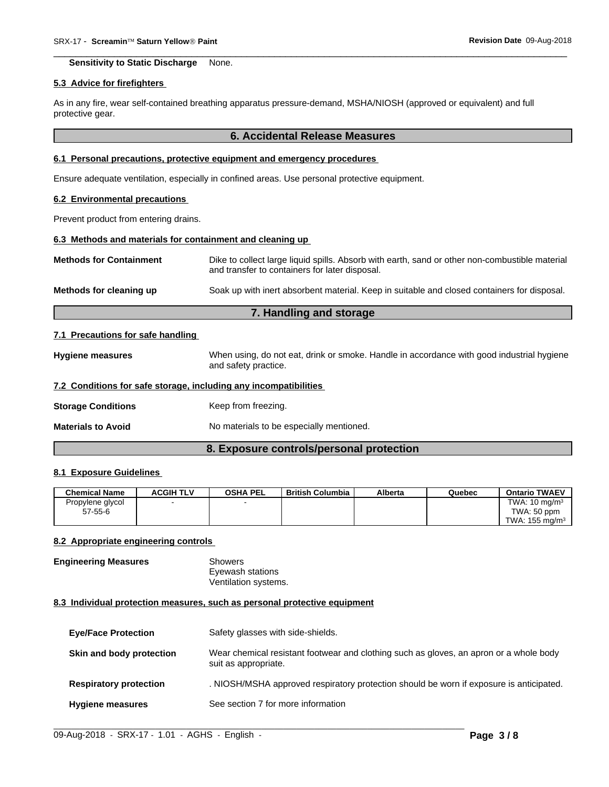**Sensitivity to Static Discharge** None.

#### **5.3 Advice for firefighters**

As in any fire, wear self-contained breathing apparatus pressure-demand, MSHA/NIOSH (approved or equivalent) and full protective gear.

#### **6. Accidental Release Measures**

 $\overline{\phantom{a}}$  ,  $\overline{\phantom{a}}$  ,  $\overline{\phantom{a}}$  ,  $\overline{\phantom{a}}$  ,  $\overline{\phantom{a}}$  ,  $\overline{\phantom{a}}$  ,  $\overline{\phantom{a}}$  ,  $\overline{\phantom{a}}$  ,  $\overline{\phantom{a}}$  ,  $\overline{\phantom{a}}$  ,  $\overline{\phantom{a}}$  ,  $\overline{\phantom{a}}$  ,  $\overline{\phantom{a}}$  ,  $\overline{\phantom{a}}$  ,  $\overline{\phantom{a}}$  ,  $\overline{\phantom{a}}$ 

## **6.1 Personal precautions, protective equipment and emergency procedures**

Ensure adequate ventilation, especially in confined areas. Use personal protective equipment.

#### **6.2 Environmental precautions**

Prevent product from entering drains.

## **6.3 Methods and materials for containment and cleaning up**

| <b>Methods for Containment</b> | Dike to collect large liquid spills. Absorb with earth, sand or other non-combustible material<br>and transfer to containers for later disposal. |
|--------------------------------|--------------------------------------------------------------------------------------------------------------------------------------------------|
| Methods for cleaning up        | Soak up with inert absorbent material. Keep in suitable and closed containers for disposal.                                                      |

## **7. Handling and storage**

#### **7.1 Precautions for safe handling**

**Hygiene measures** When using, do not eat, drink or smoke. Handle in accordance with good industrial hygiene and safety practice.

#### **7.2 Conditions for safe storage, including any incompatibilities**

**Storage Conditions** Keep from freezing.

**Materials to Avoid** No materials to be especially mentioned.

## **8. Exposure controls/personal protection**

## **8.1 Exposure Guidelines**

| <b>Chemical Name</b> | <b>ACGIH TLV</b> | <b>OSHA PEL</b> | <b>British Columbia</b> | Alberta | Quebec | <b>Ontario TWAEV</b>      |
|----------------------|------------------|-----------------|-------------------------|---------|--------|---------------------------|
| Propylene glycol     |                  |                 |                         |         |        | TWA: $10 \text{ mg/m}^3$  |
| $57 - 55 - 6$        |                  |                 |                         |         |        | TWA: 50 ppm               |
|                      |                  |                 |                         |         |        | TWA: $155 \text{ mg/m}^3$ |

#### **8.2 Appropriate engineering controls**

**Engineering Measures** Showers Eyewash stations Ventilation systems.

#### **8.3 Individual protection measures, such as personal protective equipment**

| <b>Eye/Face Protection</b>    | Safety glasses with side-shields.                                                                              |
|-------------------------------|----------------------------------------------------------------------------------------------------------------|
| Skin and body protection      | Wear chemical resistant footwear and clothing such as gloves, an apron or a whole body<br>suit as appropriate. |
| <b>Respiratory protection</b> | . NIOSH/MSHA approved respiratory protection should be worn if exposure is anticipated.                        |
| <b>Hygiene measures</b>       | See section 7 for more information                                                                             |

 $\_$  ,  $\_$  ,  $\_$  ,  $\_$  ,  $\_$  ,  $\_$  ,  $\_$  ,  $\_$  ,  $\_$  ,  $\_$  ,  $\_$  ,  $\_$  ,  $\_$  ,  $\_$  ,  $\_$  ,  $\_$  ,  $\_$  ,  $\_$  ,  $\_$  ,  $\_$  ,  $\_$  ,  $\_$  ,  $\_$  ,  $\_$  ,  $\_$  ,  $\_$  ,  $\_$  ,  $\_$  ,  $\_$  ,  $\_$  ,  $\_$  ,  $\_$  ,  $\_$  ,  $\_$  ,  $\_$  ,  $\_$  ,  $\_$  ,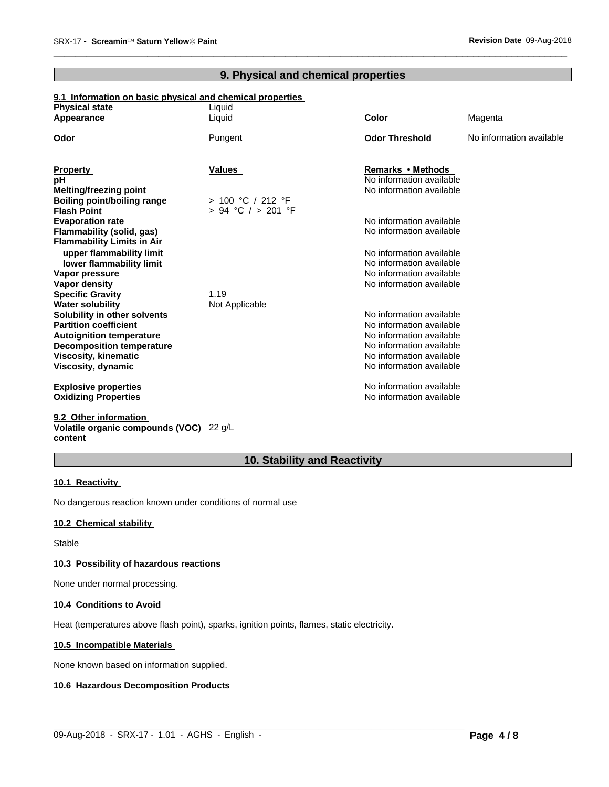## **9. Physical and chemical properties**

 $\overline{\phantom{a}}$  ,  $\overline{\phantom{a}}$  ,  $\overline{\phantom{a}}$  ,  $\overline{\phantom{a}}$  ,  $\overline{\phantom{a}}$  ,  $\overline{\phantom{a}}$  ,  $\overline{\phantom{a}}$  ,  $\overline{\phantom{a}}$  ,  $\overline{\phantom{a}}$  ,  $\overline{\phantom{a}}$  ,  $\overline{\phantom{a}}$  ,  $\overline{\phantom{a}}$  ,  $\overline{\phantom{a}}$  ,  $\overline{\phantom{a}}$  ,  $\overline{\phantom{a}}$  ,  $\overline{\phantom{a}}$ 

## **9.1 Information on basic physical and chemical properties**

| <b>Physical state</b>                                               | Liquid             |                                                      |                          |
|---------------------------------------------------------------------|--------------------|------------------------------------------------------|--------------------------|
| Appearance                                                          | Liquid             | <b>Color</b>                                         | Magenta                  |
| Odor                                                                | Pungent            | <b>Odor Threshold</b>                                | No information available |
|                                                                     |                    |                                                      |                          |
| <b>Property</b><br>рH                                               | <b>Values</b>      | Remarks • Methods<br>No information available        |                          |
| <b>Melting/freezing point</b>                                       |                    | No information available                             |                          |
| <b>Boiling point/boiling range</b>                                  | > 100 °C / 212 °F  |                                                      |                          |
| <b>Flash Point</b>                                                  | > 94 °C / > 201 °F |                                                      |                          |
| <b>Evaporation rate</b>                                             |                    | No information available                             |                          |
| Flammability (solid, gas)                                           |                    | No information available                             |                          |
| <b>Flammability Limits in Air</b>                                   |                    |                                                      |                          |
| upper flammability limit                                            |                    | No information available                             |                          |
| lower flammability limit                                            |                    | No information available                             |                          |
| Vapor pressure                                                      |                    | No information available                             |                          |
| Vapor density                                                       |                    | No information available                             |                          |
| <b>Specific Gravity</b>                                             | 1.19               |                                                      |                          |
| <b>Water solubility</b>                                             | Not Applicable     |                                                      |                          |
| Solubility in other solvents                                        |                    | No information available                             |                          |
| <b>Partition coefficient</b>                                        |                    | No information available<br>No information available |                          |
| <b>Autoignition temperature</b><br><b>Decomposition temperature</b> |                    | No information available                             |                          |
| <b>Viscosity, kinematic</b>                                         |                    | No information available                             |                          |
| Viscosity, dynamic                                                  |                    | No information available                             |                          |
|                                                                     |                    |                                                      |                          |
| <b>Explosive properties</b>                                         |                    | No information available                             |                          |
| <b>Oxidizing Properties</b>                                         |                    | No information available                             |                          |
|                                                                     |                    |                                                      |                          |

**9.2 Other information Volatile organic compounds (VOC)** 22 g/L **content**

## **10. Stability and Reactivity**

 $\_$  ,  $\_$  ,  $\_$  ,  $\_$  ,  $\_$  ,  $\_$  ,  $\_$  ,  $\_$  ,  $\_$  ,  $\_$  ,  $\_$  ,  $\_$  ,  $\_$  ,  $\_$  ,  $\_$  ,  $\_$  ,  $\_$  ,  $\_$  ,  $\_$  ,  $\_$  ,  $\_$  ,  $\_$  ,  $\_$  ,  $\_$  ,  $\_$  ,  $\_$  ,  $\_$  ,  $\_$  ,  $\_$  ,  $\_$  ,  $\_$  ,  $\_$  ,  $\_$  ,  $\_$  ,  $\_$  ,  $\_$  ,  $\_$  ,

## **10.1 Reactivity**

No dangerous reaction known under conditions of normal use

#### **10.2 Chemical stability**

Stable

## **10.3 Possibility of hazardous reactions**

None under normal processing.

## **10.4 Conditions to Avoid**

Heat (temperatures above flash point), sparks, ignition points, flames, static electricity.

## **10.5 Incompatible Materials**

None known based on information supplied.

## **10.6 Hazardous Decomposition Products**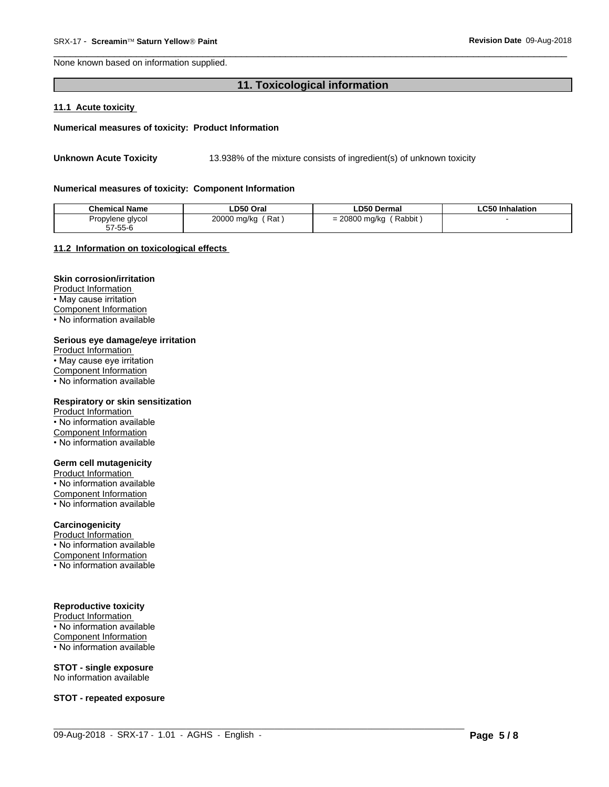None known based on information supplied.

## 11. Toxicological information

#### 11.1 Acute toxicity

#### Numerical measures of toxicity: Product Information

13.938% of the mixture consists of ingredient(s) of unknown toxicity **Unknown Acute Toxicity** 

#### Numerical measures of toxicity: Component Information

| <b>Chemical Name</b> | ∟D50 Oral              | ∟D50 Dermal             | ∟C50 Inhalation |
|----------------------|------------------------|-------------------------|-----------------|
| Propylene glycol     | 20000 mg/kg<br>′ Rat . | Rabbit<br>= 20800 mg/kg |                 |
| 57-55-6              |                        |                         |                 |

#### 11.2 Information on toxicological effects

## **Skin corrosion/irritation**

Product Information • May cause irritation Component Information . No information available

#### Serious eye damage/eye irritation

Product Information • May cause eye irritation **Component Information** • No information available

#### Respiratory or skin sensitization

Product Information • No information available Component Information • No information available

## **Germ cell mutagenicity**

Product Information • No information available Component Information • No information available

## Carcinogenicity

Product Information • No information available Component Information

• No information available

## **Reproductive toxicity**

Product Information • No information available Component Information • No information available

## **STOT - single exposure**

No information available

**STOT - repeated exposure**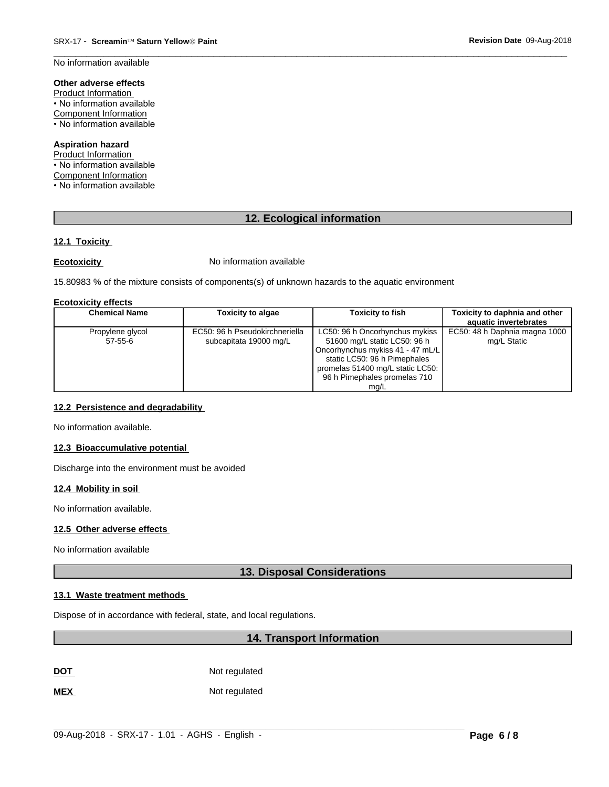No information available

## Other adverse effects

Product Information • No information available **Component Information** • No information available

## **Aspiration hazard**

Product Information • No information available Component Information • No information available

## 12. Ecological information

## 12.1 Toxicity

## **Ecotoxicity**

No information available

15.80983 % of the mixture consists of components(s) of unknown hazards to the aquatic environment

#### **Ecotoxicity effects**

| <b>Chemical Name</b>          | <b>Toxicity to algae</b>                                 | <b>Toxicity to fish</b>                                                                                                                                                                                        | Toxicity to daphnia and other<br>aquatic invertebrates |
|-------------------------------|----------------------------------------------------------|----------------------------------------------------------------------------------------------------------------------------------------------------------------------------------------------------------------|--------------------------------------------------------|
| Propylene glycol<br>$57-55-6$ | EC50: 96 h Pseudokirchneriella<br>subcapitata 19000 mg/L | LC50: 96 h Oncorhynchus mykiss<br>51600 mg/L static LC50: 96 h<br>Oncorhynchus mykiss 41 - 47 mL/L<br>static LC50: 96 h Pimephales<br>promelas 51400 mg/L static LC50:<br>96 h Pimephales promelas 710<br>ma/L | EC50: 48 h Daphnia magna 1000<br>mg/L Static           |

## 12.2 Persistence and degradability

No information available.

## 12.3 Bioaccumulative potential

Discharge into the environment must be avoided

## 12.4 Mobility in soil

No information available.

## 12.5 Other adverse effects

No information available

## **13. Disposal Considerations**

## 13.1 Waste treatment methods

Dispose of in accordance with federal, state, and local regulations.

## 14. Transport Information

Not regulated **DOT** 

**MEX** Not regulated Revision Date 09-Aug-2018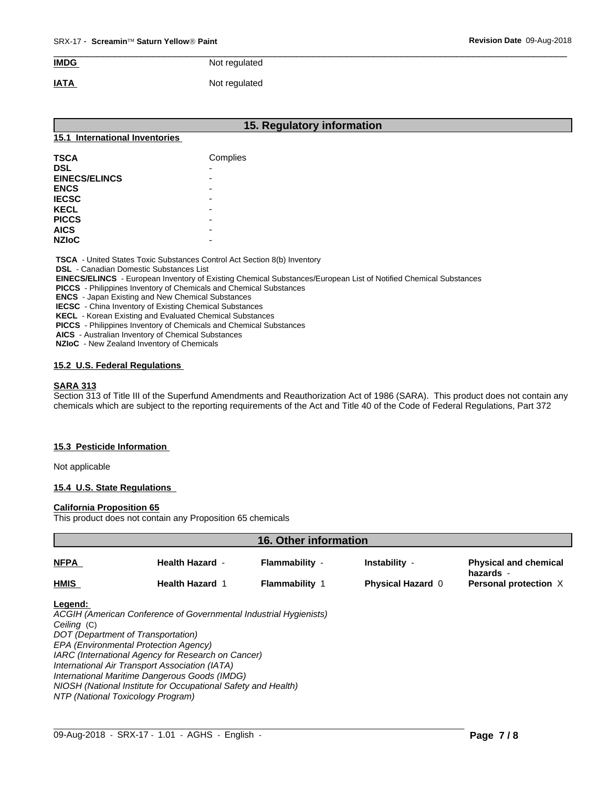## $\overline{\phantom{a}}$  ,  $\overline{\phantom{a}}$  ,  $\overline{\phantom{a}}$  ,  $\overline{\phantom{a}}$  ,  $\overline{\phantom{a}}$  ,  $\overline{\phantom{a}}$  ,  $\overline{\phantom{a}}$  ,  $\overline{\phantom{a}}$  ,  $\overline{\phantom{a}}$  ,  $\overline{\phantom{a}}$  ,  $\overline{\phantom{a}}$  ,  $\overline{\phantom{a}}$  ,  $\overline{\phantom{a}}$  ,  $\overline{\phantom{a}}$  ,  $\overline{\phantom{a}}$  ,  $\overline{\phantom{a}}$ **IMDG** Not regulated

# **IATA** Not regulated

|                                                | 15. Regulatory information                                                      |  |
|------------------------------------------------|---------------------------------------------------------------------------------|--|
| 15.1 International Inventories                 |                                                                                 |  |
| <b>TSCA</b>                                    | Complies                                                                        |  |
| <b>DSL</b>                                     |                                                                                 |  |
| <b>EINECS/ELINCS</b>                           |                                                                                 |  |
| <b>ENCS</b>                                    |                                                                                 |  |
| <b>IECSC</b>                                   |                                                                                 |  |
| <b>KECL</b>                                    |                                                                                 |  |
| <b>PICCS</b>                                   |                                                                                 |  |
| <b>AICS</b>                                    |                                                                                 |  |
| <b>NZIOC</b>                                   |                                                                                 |  |
| <b>DSL</b> - Canadian Domestic Substances List | <b>TSCA</b> - United States Toxic Substances Control Act Section 8(b) Inventory |  |

 **DSL** - Canadian Domestic Substances List

 **EINECS/ELINCS** - European Inventory of Existing Chemical Substances/European List of Notified Chemical Substances

 **PICCS** - Philippines Inventory of Chemicals and Chemical Substances

 **ENCS** - Japan Existing and New Chemical Substances

 **IECSC** - China Inventory of Existing Chemical Substances

 **KECL** - Korean Existing and Evaluated Chemical Substances

 **PICCS** - Philippines Inventory of Chemicals and Chemical Substances

 **AICS** - Australian Inventory of Chemical Substances

 **NZIoC** - New Zealand Inventory of Chemicals

## **15.2 U.S. Federal Regulations**

## **SARA 313**

Section 313 of Title III of the Superfund Amendments and Reauthorization Act of 1986 (SARA). This product does not contain any chemicals which are subject to the reporting requirements of the Act and Title 40 of the Code of Federal Regulations, Part 372

## **15.3 Pesticide Information**

Not applicable

## **15.4 U.S. State Regulations**

#### **California Proposition 65**

This product does not contain any Proposition 65 chemicals

| 16. Other information  |                                                                                                                                                                                                                                                                                                                                                                                                                 |                       |                          |                                           |  |
|------------------------|-----------------------------------------------------------------------------------------------------------------------------------------------------------------------------------------------------------------------------------------------------------------------------------------------------------------------------------------------------------------------------------------------------------------|-----------------------|--------------------------|-------------------------------------------|--|
| <b>NFPA</b>            | <b>Health Hazard -</b>                                                                                                                                                                                                                                                                                                                                                                                          | Flammability -        | Instability -            | <b>Physical and chemical</b><br>hazards - |  |
| <b>HMIS</b>            | <b>Health Hazard 1</b>                                                                                                                                                                                                                                                                                                                                                                                          | <b>Flammability 1</b> | <b>Physical Hazard 0</b> | Personal protection X                     |  |
| Legend:<br>Ceiling (C) | ACGIH (American Conference of Governmental Industrial Hygienists)<br>DOT (Department of Transportation)<br>EPA (Environmental Protection Agency)<br>IARC (International Agency for Research on Cancer)<br>International Air Transport Association (IATA)<br>International Maritime Dangerous Goods (IMDG)<br>NIOSH (National Institute for Occupational Safety and Health)<br>NTP (National Toxicology Program) |                       |                          |                                           |  |

 $\_$  ,  $\_$  ,  $\_$  ,  $\_$  ,  $\_$  ,  $\_$  ,  $\_$  ,  $\_$  ,  $\_$  ,  $\_$  ,  $\_$  ,  $\_$  ,  $\_$  ,  $\_$  ,  $\_$  ,  $\_$  ,  $\_$  ,  $\_$  ,  $\_$  ,  $\_$  ,  $\_$  ,  $\_$  ,  $\_$  ,  $\_$  ,  $\_$  ,  $\_$  ,  $\_$  ,  $\_$  ,  $\_$  ,  $\_$  ,  $\_$  ,  $\_$  ,  $\_$  ,  $\_$  ,  $\_$  ,  $\_$  ,  $\_$  ,